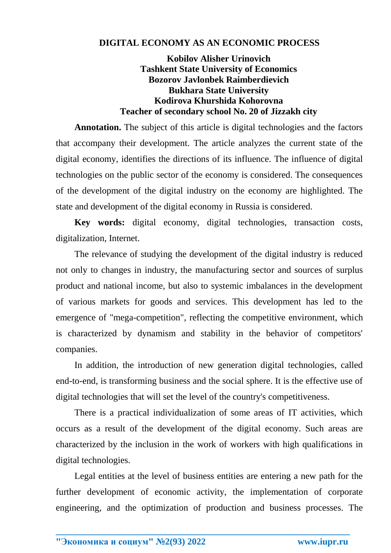## **DIGITAL ECONOMY AS AN ECONOMIC PROCESS**

## **Kobilov Alisher Urinovich Tashkent State University of Economics Bozorov Javlonbek Raimberdievich Bukhara State University Kodirova Khurshida Kohorovna Teacher of secondary school No. 20 of Jizzakh city**

**Annotation.** The subject of this article is digital technologies and the factors that accompany their development. The article analyzes the current state of the digital economy, identifies the directions of its influence. The influence of digital technologies on the public sector of the economy is considered. The consequences of the development of the digital industry on the economy are highlighted. The state and development of the digital economy in Russia is considered.

**Key words:** digital economy, digital technologies, transaction costs, digitalization, Internet.

The relevance of studying the development of the digital industry is reduced not only to changes in industry, the manufacturing sector and sources of surplus product and national income, but also to systemic imbalances in the development of various markets for goods and services. This development has led to the emergence of "mega-competition", reflecting the competitive environment, which is characterized by dynamism and stability in the behavior of competitors' companies.

In addition, the introduction of new generation digital technologies, called end-to-end, is transforming business and the social sphere. It is the effective use of digital technologies that will set the level of the country's competitiveness.

There is a practical individualization of some areas of IT activities, which occurs as a result of the development of the digital economy. Such areas are characterized by the inclusion in the work of workers with high qualifications in digital technologies.

Legal entities at the level of business entities are entering a new path for the further development of economic activity, the implementation of corporate engineering, and the optimization of production and business processes. The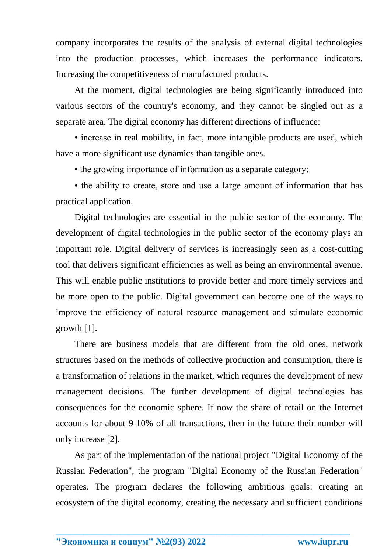company incorporates the results of the analysis of external digital technologies into the production processes, which increases the performance indicators. Increasing the competitiveness of manufactured products.

At the moment, digital technologies are being significantly introduced into various sectors of the country's economy, and they cannot be singled out as a separate area. The digital economy has different directions of influence:

• increase in real mobility, in fact, more intangible products are used, which have a more significant use dynamics than tangible ones.

• the growing importance of information as a separate category;

• the ability to create, store and use a large amount of information that has practical application.

Digital technologies are essential in the public sector of the economy. The development of digital technologies in the public sector of the economy plays an important role. Digital delivery of services is increasingly seen as a cost-cutting tool that delivers significant efficiencies as well as being an environmental avenue. This will enable public institutions to provide better and more timely services and be more open to the public. Digital government can become one of the ways to improve the efficiency of natural resource management and stimulate economic growth [1].

There are business models that are different from the old ones, network structures based on the methods of collective production and consumption, there is a transformation of relations in the market, which requires the development of new management decisions. The further development of digital technologies has consequences for the economic sphere. If now the share of retail on the Internet accounts for about 9-10% of all transactions, then in the future their number will only increase [2].

As part of the implementation of the national project "Digital Economy of the Russian Federation", the program "Digital Economy of the Russian Federation" operates. The program declares the following ambitious goals: creating an ecosystem of the digital economy, creating the necessary and sufficient conditions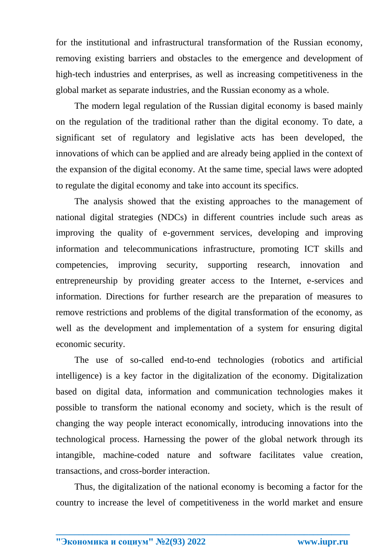for the institutional and infrastructural transformation of the Russian economy, removing existing barriers and obstacles to the emergence and development of high-tech industries and enterprises, as well as increasing competitiveness in the global market as separate industries, and the Russian economy as a whole.

The modern legal regulation of the Russian digital economy is based mainly on the regulation of the traditional rather than the digital economy. To date, a significant set of regulatory and legislative acts has been developed, the innovations of which can be applied and are already being applied in the context of the expansion of the digital economy. At the same time, special laws were adopted to regulate the digital economy and take into account its specifics.

The analysis showed that the existing approaches to the management of national digital strategies (NDCs) in different countries include such areas as improving the quality of e-government services, developing and improving information and telecommunications infrastructure, promoting ICT skills and competencies, improving security, supporting research, innovation and entrepreneurship by providing greater access to the Internet, e-services and information. Directions for further research are the preparation of measures to remove restrictions and problems of the digital transformation of the economy, as well as the development and implementation of a system for ensuring digital economic security.

The use of so-called end-to-end technologies (robotics and artificial intelligence) is a key factor in the digitalization of the economy. Digitalization based on digital data, information and communication technologies makes it possible to transform the national economy and society, which is the result of changing the way people interact economically, introducing innovations into the technological process. Harnessing the power of the global network through its intangible, machine-coded nature and software facilitates value creation, transactions, and cross-border interaction.

Thus, the digitalization of the national economy is becoming a factor for the country to increase the level of competitiveness in the world market and ensure